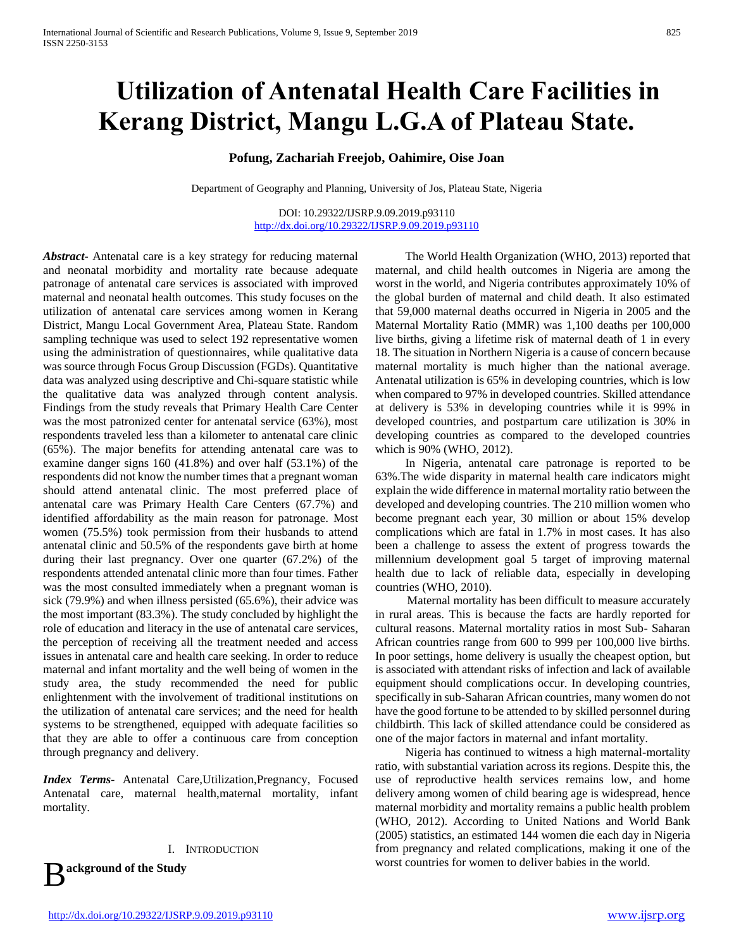# **Utilization of Antenatal Health Care Facilities in Kerang District, Mangu L.G.A of Plateau State.**

**Pofung, Zachariah Freejob, Oahimire, Oise Joan**

Department of Geography and Planning, University of Jos, Plateau State, Nigeria

DOI: 10.29322/IJSRP.9.09.2019.p93110 <http://dx.doi.org/10.29322/IJSRP.9.09.2019.p93110>

*Abstract***-** Antenatal care is a key strategy for reducing maternal and neonatal morbidity and mortality rate because adequate patronage of antenatal care services is associated with improved maternal and neonatal health outcomes. This study focuses on the utilization of antenatal care services among women in Kerang District, Mangu Local Government Area, Plateau State. Random sampling technique was used to select 192 representative women using the administration of questionnaires, while qualitative data was source through Focus Group Discussion (FGDs). Quantitative data was analyzed using descriptive and Chi-square statistic while the qualitative data was analyzed through content analysis. Findings from the study reveals that Primary Health Care Center was the most patronized center for antenatal service (63%), most respondents traveled less than a kilometer to antenatal care clinic (65%). The major benefits for attending antenatal care was to examine danger signs 160 (41.8%) and over half (53.1%) of the respondents did not know the number times that a pregnant woman should attend antenatal clinic. The most preferred place of antenatal care was Primary Health Care Centers (67.7%) and identified affordability as the main reason for patronage. Most women (75.5%) took permission from their husbands to attend antenatal clinic and 50.5% of the respondents gave birth at home during their last pregnancy. Over one quarter (67.2%) of the respondents attended antenatal clinic more than four times. Father was the most consulted immediately when a pregnant woman is sick (79.9%) and when illness persisted (65.6%), their advice was the most important (83.3%). The study concluded by highlight the role of education and literacy in the use of antenatal care services, the perception of receiving all the treatment needed and access issues in antenatal care and health care seeking. In order to reduce maternal and infant mortality and the well being of women in the study area, the study recommended the need for public enlightenment with the involvement of traditional institutions on the utilization of antenatal care services; and the need for health systems to be strengthened, equipped with adequate facilities so that they are able to offer a continuous care from conception through pregnancy and delivery.

*Index Terms*- Antenatal Care,Utilization,Pregnancy, Focused Antenatal care, maternal health,maternal mortality, infant mortality.

I. INTRODUCTION **ackground of the Study**

 The World Health Organization (WHO, 2013) reported that maternal, and child health outcomes in Nigeria are among the worst in the world, and Nigeria contributes approximately 10% of the global burden of maternal and child death. It also estimated that 59,000 maternal deaths occurred in Nigeria in 2005 and the Maternal Mortality Ratio (MMR) was 1,100 deaths per 100,000 live births, giving a lifetime risk of maternal death of 1 in every 18. The situation in Northern Nigeria is a cause of concern because maternal mortality is much higher than the national average. Antenatal utilization is 65% in developing countries, which is low when compared to 97% in developed countries. Skilled attendance at delivery is 53% in developing countries while it is 99% in developed countries, and postpartum care utilization is 30% in developing countries as compared to the developed countries which is 90% (WHO, 2012).

 In Nigeria, antenatal care patronage is reported to be 63%.The wide disparity in maternal health care indicators might explain the wide difference in maternal mortality ratio between the developed and developing countries. The 210 million women who become pregnant each year, 30 million or about 15% develop complications which are fatal in 1.7% in most cases. It has also been a challenge to assess the extent of progress towards the millennium development goal 5 target of improving maternal health due to lack of reliable data, especially in developing countries (WHO, 2010).

 Maternal mortality has been difficult to measure accurately in rural areas. This is because the facts are hardly reported for cultural reasons. Maternal mortality ratios in most Sub- Saharan African countries range from 600 to 999 per 100,000 live births. In poor settings, home delivery is usually the cheapest option, but is associated with attendant risks of infection and lack of available equipment should complications occur. In developing countries, specifically in sub-Saharan African countries, many women do not have the good fortune to be attended to by skilled personnel during childbirth. This lack of skilled attendance could be considered as one of the major factors in maternal and infant mortality.

 Nigeria has continued to witness a high maternal-mortality ratio, with substantial variation across its regions. Despite this, the use of reproductive health services remains low, and home delivery among women of child bearing age is widespread, hence maternal morbidity and mortality remains a public health problem (WHO, 2012). According to United Nations and World Bank (2005) statistics, an estimated 144 women die each day in Nigeria from pregnancy and related complications, making it one of the worst countries for women to deliver babies in the world.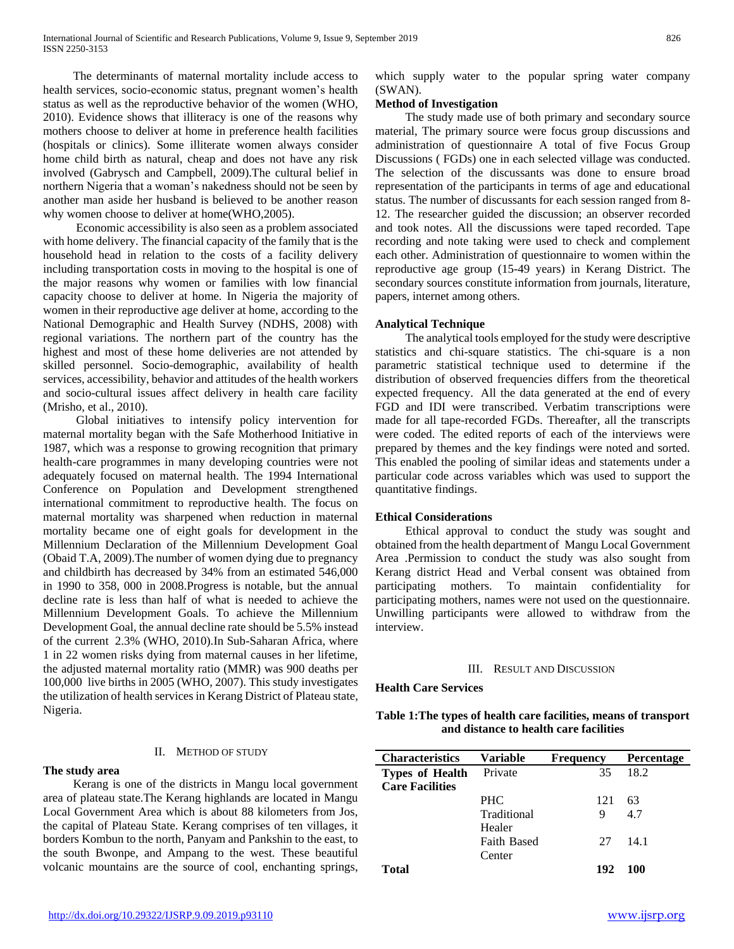The determinants of maternal mortality include access to health services, socio-economic status, pregnant women's health status as well as the reproductive behavior of the women (WHO, 2010). Evidence shows that illiteracy is one of the reasons why mothers choose to deliver at home in preference health facilities (hospitals or clinics). Some illiterate women always consider home child birth as natural, cheap and does not have any risk involved (Gabrysch and Campbell, 2009).The cultural belief in northern Nigeria that a woman's nakedness should not be seen by another man aside her husband is believed to be another reason why women choose to deliver at home(WHO,2005).

 Economic accessibility is also seen as a problem associated with home delivery. The financial capacity of the family that is the household head in relation to the costs of a facility delivery including transportation costs in moving to the hospital is one of the major reasons why women or families with low financial capacity choose to deliver at home. In Nigeria the majority of women in their reproductive age deliver at home, according to the National Demographic and Health Survey (NDHS, 2008) with regional variations. The northern part of the country has the highest and most of these home deliveries are not attended by skilled personnel. Socio-demographic, availability of health services, accessibility, behavior and attitudes of the health workers and socio-cultural issues affect delivery in health care facility (Mrisho, et al., 2010).

 Global initiatives to intensify policy intervention for maternal mortality began with the Safe Motherhood Initiative in 1987, which was a response to growing recognition that primary health-care programmes in many developing countries were not adequately focused on maternal health. The 1994 International Conference on Population and Development strengthened international commitment to reproductive health. The focus on maternal mortality was sharpened when reduction in maternal mortality became one of eight goals for development in the Millennium Declaration of the Millennium Development Goal (Obaid T.A, 2009).The number of women dying due to pregnancy and childbirth has decreased by 34% from an estimated 546,000 in 1990 to 358, 000 in 2008.Progress is notable, but the annual decline rate is less than half of what is needed to achieve the Millennium Development Goals. To achieve the Millennium Development Goal, the annual decline rate should be 5.5% instead of the current 2.3% (WHO, 2010).In Sub-Saharan Africa, where 1 in 22 women risks dying from maternal causes in her lifetime, the adjusted maternal mortality ratio (MMR) was 900 deaths per 100,000 live births in 2005 (WHO, 2007). This study investigates the utilization of health services in Kerang District of Plateau state, Nigeria.

## II. METHOD OF STUDY

## **The study area**

 Kerang is one of the districts in Mangu local government area of plateau state.The Kerang highlands are located in Mangu Local Government Area which is about 88 kilometers from Jos, the capital of Plateau State. Kerang comprises of ten villages, it borders Kombun to the north, Panyam and Pankshin to the east, to the south Bwonpe, and Ampang to the west. These beautiful volcanic mountains are the source of cool, enchanting springs, which supply water to the popular spring water company (SWAN).

# **Method of Investigation**

 The study made use of both primary and secondary source material, The primary source were focus group discussions and administration of questionnaire A total of five Focus Group Discussions ( FGDs) one in each selected village was conducted. The selection of the discussants was done to ensure broad representation of the participants in terms of age and educational status. The number of discussants for each session ranged from 8- 12. The researcher guided the discussion; an observer recorded and took notes. All the discussions were taped recorded. Tape recording and note taking were used to check and complement each other. Administration of questionnaire to women within the reproductive age group (15-49 years) in Kerang District. The secondary sources constitute information from journals, literature, papers, internet among others.

## **Analytical Technique**

 The analytical tools employed for the study were descriptive statistics and chi-square statistics. The chi-square is a non parametric statistical technique used to determine if the distribution of observed frequencies differs from the theoretical expected frequency. All the data generated at the end of every FGD and IDI were transcribed. Verbatim transcriptions were made for all tape-recorded FGDs. Thereafter, all the transcripts were coded. The edited reports of each of the interviews were prepared by themes and the key findings were noted and sorted. This enabled the pooling of similar ideas and statements under a particular code across variables which was used to support the quantitative findings.

## **Ethical Considerations**

 Ethical approval to conduct the study was sought and obtained from the health department of Mangu Local Government Area .Permission to conduct the study was also sought from Kerang district Head and Verbal consent was obtained from participating mothers. To maintain confidentiality for participating mothers, names were not used on the questionnaire. Unwilling participants were allowed to withdraw from the interview.

#### III. RESULT AND DISCUSSION

**Health Care Services**

## **Table 1:The types of health care facilities, means of transport and distance to health care facilities**

| <b>Characteristics</b> | <b>Variable</b>    | <b>Frequency</b> | <b>Percentage</b> |
|------------------------|--------------------|------------------|-------------------|
| <b>Types of Health</b> | Private            | 35               | 18.2              |
| <b>Care Facilities</b> |                    |                  |                   |
|                        | <b>PHC</b>         | 121              | 63                |
|                        | Traditional        | 9                | 4.7               |
|                        | Healer             |                  |                   |
|                        | <b>Faith Based</b> | 27               | 141               |
|                        | Center             |                  |                   |
| Total                  |                    | 192              | 100               |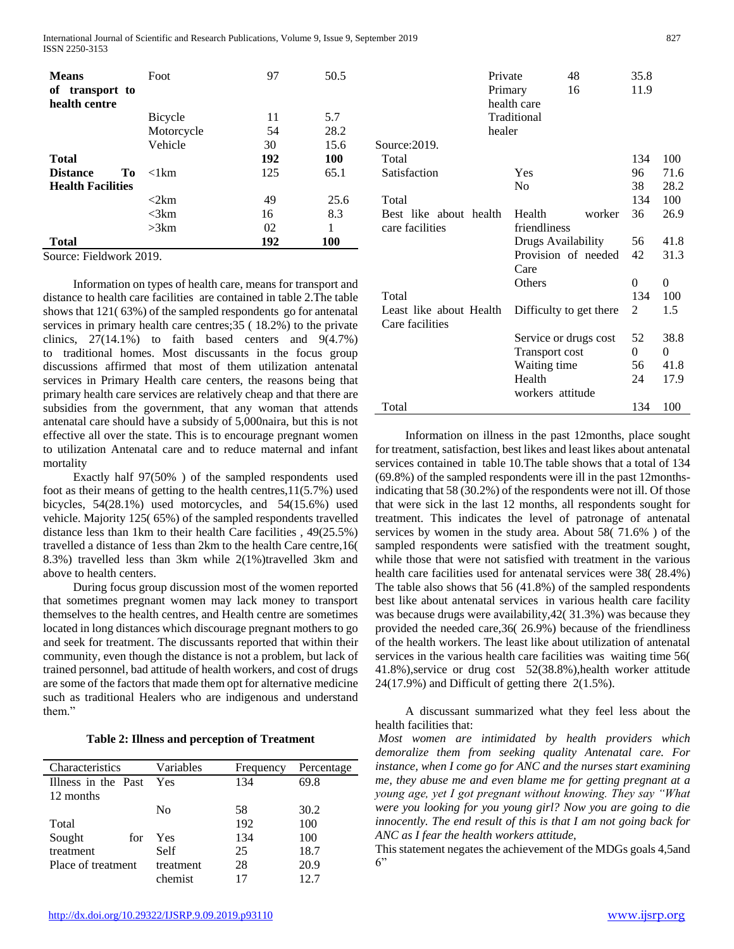International Journal of Scientific and Research Publications, Volume 9, Issue 9, September 2019 827 ISSN 2250-3153

| <b>Means</b><br>transport to<br>of<br>health centre | Foot             | 97  | 50.5 |
|-----------------------------------------------------|------------------|-----|------|
|                                                     | Bicycle          | 11  | 5.7  |
|                                                     | Motorcycle       | 54  | 28.2 |
|                                                     | Vehicle          | 30  | 15.6 |
| <b>Total</b>                                        |                  | 192 | 100  |
| <b>Distance</b><br>Tо                               | $\langle$ 1 $km$ | 125 | 65.1 |
| <b>Health Facilities</b>                            |                  |     |      |
|                                                     | <2km             | 49  | 25.6 |
|                                                     | $\leq$ 3 $km$    | 16  | 8.3  |
|                                                     | >3km             | 02  |      |
| Total                                               |                  | 192 | 100  |

Source: Fieldwork 2019.

 Information on types of health care, means for transport and distance to health care facilities are contained in table 2.The table shows that 121( 63%) of the sampled respondents go for antenatal services in primary health care centres;35 ( 18.2%) to the private clinics,  $27(14.1\%)$  to faith based centers and  $9(4.7\%)$ to traditional homes. Most discussants in the focus group discussions affirmed that most of them utilization antenatal services in Primary Health care centers, the reasons being that primary health care services are relatively cheap and that there are subsidies from the government, that any woman that attends antenatal care should have a subsidy of 5,000naira, but this is not effective all over the state. This is to encourage pregnant women to utilization Antenatal care and to reduce maternal and infant mortality

 Exactly half 97(50% ) of the sampled respondents used foot as their means of getting to the health centres,11(5.7%) used bicycles, 54(28.1%) used motorcycles, and 54(15.6%) used vehicle. Majority 125( 65%) of the sampled respondents travelled distance less than 1km to their health Care facilities , 49(25.5%) travelled a distance of 1ess than 2km to the health Care centre,16( 8.3%) travelled less than 3km while 2(1%)travelled 3km and above to health centers.

 During focus group discussion most of the women reported that sometimes pregnant women may lack money to transport themselves to the health centres, and Health centre are sometimes located in long distances which discourage pregnant mothers to go and seek for treatment. The discussants reported that within their community, even though the distance is not a problem, but lack of trained personnel, bad attitude of health workers, and cost of drugs are some of the factors that made them opt for alternative medicine such as traditional Healers who are indigenous and understand them."

| <b>Table 2: Illness and perception of Treatment</b> |  |  |
|-----------------------------------------------------|--|--|
|-----------------------------------------------------|--|--|

| Characteristics     | Variables      | Frequency | Percentage |
|---------------------|----------------|-----------|------------|
| Illness in the Past | Yes            | 134       | 69.8       |
| 12 months           |                |           |            |
|                     | N <sub>0</sub> | 58        | 30.2       |
| Total               |                | 192       | 100        |
| Sought<br>for       | Yes            | 134       | 100        |
| treatment           | Self           | 25        | 18.7       |
| Place of treatment  | treatment      | 28        | 20.9       |
|                     | chemist        |           | 12.7       |

| healer                  | Private<br>48<br>16<br>Primary<br>health care<br>Traditional | 35.8<br>11.9   |      |
|-------------------------|--------------------------------------------------------------|----------------|------|
| Source: 2019.           |                                                              |                |      |
| Total                   |                                                              | 134            | 100  |
| Satisfaction            | Yes                                                          | 96             | 71.6 |
|                         | N <sub>0</sub>                                               | 38             | 28.2 |
| Total                   |                                                              | 134            | 100  |
| Best like about health  | Health<br>worker                                             | 36             | 26.9 |
| care facilities         | friendliness                                                 |                |      |
|                         | Drugs Availability                                           | 56             | 41.8 |
|                         | Provision of needed                                          | 42             |      |
|                         | Care                                                         |                | 31.3 |
|                         | Others                                                       | 0              | 0    |
| Total                   |                                                              | 134            |      |
|                         |                                                              |                | 100  |
| Least like about Health | Difficulty to get there                                      | 2              | 1.5  |
| Care facilities         |                                                              |                |      |
|                         | Service or drugs cost                                        | 52             | 38.8 |
|                         | <b>Transport cost</b>                                        | $\overline{0}$ | 0    |
|                         | Waiting time                                                 | 56             | 41.8 |
|                         | Health                                                       | 24             | 17.9 |
|                         | workers attitude                                             |                |      |
| Total                   |                                                              | 134            | 100  |
|                         |                                                              |                |      |

 Information on illness in the past 12months, place sought for treatment, satisfaction, best likes and least likes about antenatal services contained in table 10.The table shows that a total of 134 (69.8%) of the sampled respondents were ill in the past 12monthsindicating that 58 (30.2%) of the respondents were not ill. Of those that were sick in the last 12 months, all respondents sought for treatment. This indicates the level of patronage of antenatal services by women in the study area. About 58( 71.6% ) of the sampled respondents were satisfied with the treatment sought, while those that were not satisfied with treatment in the various health care facilities used for antenatal services were 38( 28.4%) The table also shows that 56 (41.8%) of the sampled respondents best like about antenatal services in various health care facility was because drugs were availability,42( 31.3%) was because they provided the needed care,36( 26.9%) because of the friendliness of the health workers. The least like about utilization of antenatal services in the various health care facilities was waiting time 56( 41.8%),service or drug cost 52(38.8%),health worker attitude 24(17.9%) and Difficult of getting there 2(1.5%).

 A discussant summarized what they feel less about the health facilities that:

*Most women are intimidated by health providers which demoralize them from seeking quality Antenatal care. For instance, when I come go for ANC and the nurses start examining me, they abuse me and even blame me for getting pregnant at a young age, yet I got pregnant without knowing. They say "What were you looking for you young girl? Now you are going to die innocently. The end result of this is that I am not going back for ANC as I fear the health workers attitude,*

This statement negates the achievement of the MDGs goals 4,5and  $6"$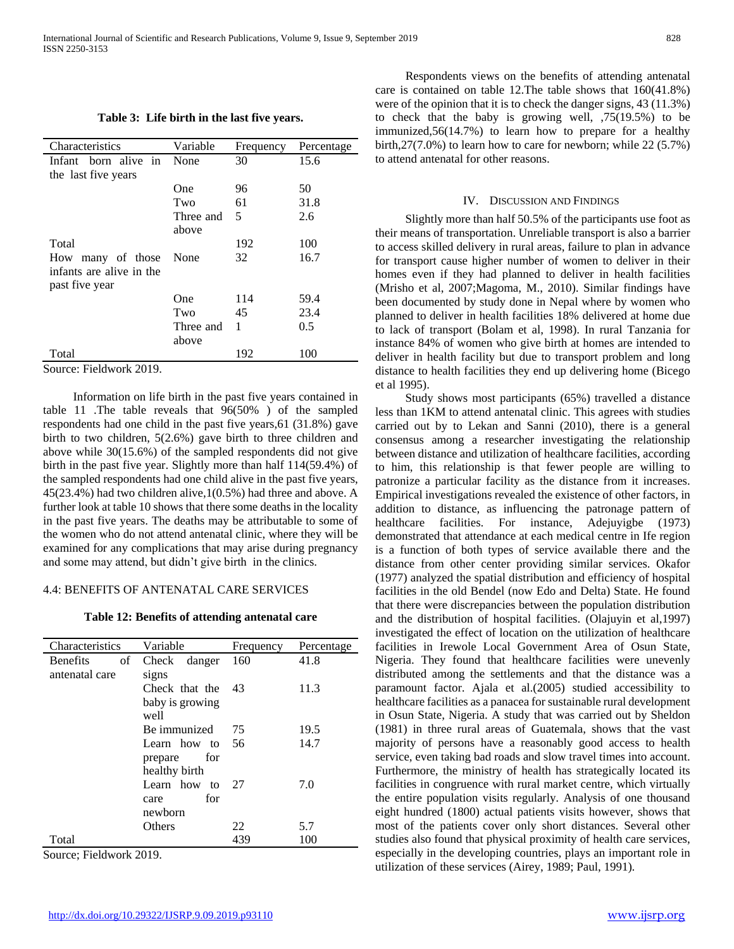**Table 3: Life birth in the last five years.**

| Characteristics          | Variable  |           |            |
|--------------------------|-----------|-----------|------------|
|                          |           | Frequency | Percentage |
| Infant born alive in     | None      | 30        | 15.6       |
| the last five years      |           |           |            |
|                          | One       | 96        | 50         |
|                          | Two       | 61        | 31.8       |
|                          | Three and | 5         | 2.6        |
|                          | above     |           |            |
| Total                    |           | 192       | 100        |
| many of those<br>How     | None      | 32        | 16.7       |
| infants are alive in the |           |           |            |
| past five year           |           |           |            |
|                          | One       | 114       | 59.4       |
|                          | Two       | 45        | 23.4       |
|                          | Three and | 1         | 0.5        |
|                          | above     |           |            |
| Total                    |           | 192       | 100        |
| $\sim$<br>$T'$ 11 1 0010 |           |           |            |

Source: Fieldwork 2019.

 Information on life birth in the past five years contained in table 11 .The table reveals that 96(50% ) of the sampled respondents had one child in the past five years,61 (31.8%) gave birth to two children, 5(2.6%) gave birth to three children and above while 30(15.6%) of the sampled respondents did not give birth in the past five year. Slightly more than half 114(59.4%) of the sampled respondents had one child alive in the past five years, 45(23.4%) had two children alive,1(0.5%) had three and above. A further look at table 10 shows that there some deaths in the locality in the past five years. The deaths may be attributable to some of the women who do not attend antenatal clinic, where they will be examined for any complications that may arise during pregnancy and some may attend, but didn't give birth in the clinics.

#### 4.4: BENEFITS OF ANTENATAL CARE SERVICES

**Table 12: Benefits of attending antenatal care**

| Characteristics       | Variable        | Frequency | Percentage |
|-----------------------|-----------------|-----------|------------|
| <b>Benefits</b><br>of | Check danger    | 160       | 41.8       |
| antenatal care        | signs           |           |            |
|                       | Check that the  | - 43      | 11.3       |
|                       | baby is growing |           |            |
|                       | well            |           |            |
|                       | Be immunized    | 75        | 19.5       |
|                       | Learn how to 56 |           | 14.7       |
|                       | for<br>prepare  |           |            |
|                       | healthy birth   |           |            |
|                       | Learn how to    | 27        | 7.0        |
|                       | for<br>care     |           |            |
|                       | newborn         |           |            |
|                       | Others          | 22        | 5.7        |
| Total                 |                 | 439       | 100        |

Source; Fieldwork 2019.

 Respondents views on the benefits of attending antenatal care is contained on table 12.The table shows that 160(41.8%) were of the opinion that it is to check the danger signs, 43 (11.3%) to check that the baby is growing well, ,75(19.5%) to be immunized,56(14.7%) to learn how to prepare for a healthy birth,27(7.0%) to learn how to care for newborn; while 22 (5.7%) to attend antenatal for other reasons.

## IV. DISCUSSION AND FINDINGS

 Slightly more than half 50.5% of the participants use foot as their means of transportation. Unreliable transport is also a barrier to access skilled delivery in rural areas, failure to plan in advance for transport cause higher number of women to deliver in their homes even if they had planned to deliver in health facilities (Mrisho et al, 2007;Magoma, M., 2010). Similar findings have been documented by study done in Nepal where by women who planned to deliver in health facilities 18% delivered at home due to lack of transport (Bolam et al, 1998). In rural Tanzania for instance 84% of women who give birth at homes are intended to deliver in health facility but due to transport problem and long distance to health facilities they end up delivering home (Bicego et al 1995).

 Study shows most participants (65%) travelled a distance less than 1KM to attend antenatal clinic. This agrees with studies carried out by to Lekan and Sanni (2010), there is a general consensus among a researcher investigating the relationship between distance and utilization of healthcare facilities, according to him, this relationship is that fewer people are willing to patronize a particular facility as the distance from it increases. Empirical investigations revealed the existence of other factors, in addition to distance, as influencing the patronage pattern of healthcare facilities. For instance, Adejuyigbe (1973) demonstrated that attendance at each medical centre in Ife region is a function of both types of service available there and the distance from other center providing similar services. Okafor (1977) analyzed the spatial distribution and efficiency of hospital facilities in the old Bendel (now Edo and Delta) State. He found that there were discrepancies between the population distribution and the distribution of hospital facilities. (Olajuyin et al,1997) investigated the effect of location on the utilization of healthcare facilities in Irewole Local Government Area of Osun State, Nigeria. They found that healthcare facilities were unevenly distributed among the settlements and that the distance was a paramount factor. Ajala et al.(2005) studied accessibility to healthcare facilities as a panacea for sustainable rural development in Osun State, Nigeria. A study that was carried out by Sheldon (1981) in three rural areas of Guatemala, shows that the vast majority of persons have a reasonably good access to health service, even taking bad roads and slow travel times into account. Furthermore, the ministry of health has strategically located its facilities in congruence with rural market centre, which virtually the entire population visits regularly. Analysis of one thousand eight hundred (1800) actual patients visits however, shows that most of the patients cover only short distances. Several other studies also found that physical proximity of health care services, especially in the developing countries, plays an important role in utilization of these services (Airey, 1989; Paul, 1991).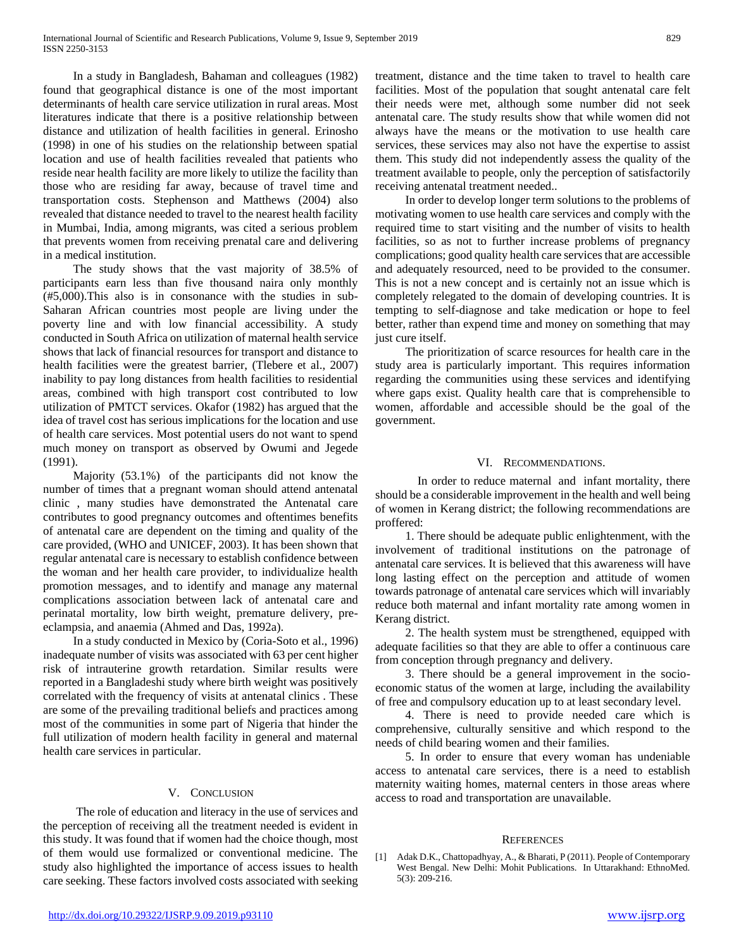In a study in Bangladesh, Bahaman and colleagues (1982) found that geographical distance is one of the most important determinants of health care service utilization in rural areas. Most literatures indicate that there is a positive relationship between distance and utilization of health facilities in general. Erinosho (1998) in one of his studies on the relationship between spatial location and use of health facilities revealed that patients who reside near health facility are more likely to utilize the facility than those who are residing far away, because of travel time and transportation costs. Stephenson and Matthews (2004) also revealed that distance needed to travel to the nearest health facility in Mumbai, India, among migrants, was cited a serious problem that prevents women from receiving prenatal care and delivering in a medical institution.

 The study shows that the vast majority of 38.5% of participants earn less than five thousand naira only monthly (#5,000).This also is in consonance with the studies in sub-Saharan African countries most people are living under the poverty line and with low financial accessibility. A study conducted in South Africa on utilization of maternal health service shows that lack of financial resources for transport and distance to health facilities were the greatest barrier, (Tlebere et al., 2007) inability to pay long distances from health facilities to residential areas, combined with high transport cost contributed to low utilization of PMTCT services. Okafor (1982) has argued that the idea of travel cost has serious implications for the location and use of health care services. Most potential users do not want to spend much money on transport as observed by Owumi and Jegede (1991).

 Majority (53.1%) of the participants did not know the number of times that a pregnant woman should attend antenatal clinic , many studies have demonstrated the Antenatal care contributes to good pregnancy outcomes and oftentimes benefits of antenatal care are dependent on the timing and quality of the care provided, (WHO and UNICEF, 2003). It has been shown that regular antenatal care is necessary to establish confidence between the woman and her health care provider, to individualize health promotion messages, and to identify and manage any maternal complications association between lack of antenatal care and perinatal mortality, low birth weight, premature delivery, preeclampsia, and anaemia (Ahmed and Das, 1992a).

 In a study conducted in Mexico by (Coria-Soto et al., 1996) inadequate number of visits was associated with 63 per cent higher risk of intrauterine growth retardation. Similar results were reported in a Bangladeshi study where birth weight was positively correlated with the frequency of visits at antenatal clinics . These are some of the prevailing traditional beliefs and practices among most of the communities in some part of Nigeria that hinder the full utilization of modern health facility in general and maternal health care services in particular.

## V. CONCLUSION

 The role of education and literacy in the use of services and the perception of receiving all the treatment needed is evident in this study. It was found that if women had the choice though, most of them would use formalized or conventional medicine. The study also highlighted the importance of access issues to health care seeking. These factors involved costs associated with seeking treatment, distance and the time taken to travel to health care facilities. Most of the population that sought antenatal care felt their needs were met, although some number did not seek antenatal care. The study results show that while women did not always have the means or the motivation to use health care services, these services may also not have the expertise to assist them. This study did not independently assess the quality of the treatment available to people, only the perception of satisfactorily receiving antenatal treatment needed..

 In order to develop longer term solutions to the problems of motivating women to use health care services and comply with the required time to start visiting and the number of visits to health facilities, so as not to further increase problems of pregnancy complications; good quality health care services that are accessible and adequately resourced, need to be provided to the consumer. This is not a new concept and is certainly not an issue which is completely relegated to the domain of developing countries. It is tempting to self-diagnose and take medication or hope to feel better, rather than expend time and money on something that may just cure itself.

 The prioritization of scarce resources for health care in the study area is particularly important. This requires information regarding the communities using these services and identifying where gaps exist. Quality health care that is comprehensible to women, affordable and accessible should be the goal of the government.

## VI. RECOMMENDATIONS.

 In order to reduce maternal and infant mortality, there should be a considerable improvement in the health and well being of women in Kerang district; the following recommendations are proffered:

 1. There should be adequate public enlightenment, with the involvement of traditional institutions on the patronage of antenatal care services. It is believed that this awareness will have long lasting effect on the perception and attitude of women towards patronage of antenatal care services which will invariably reduce both maternal and infant mortality rate among women in Kerang district.

 2. The health system must be strengthened, equipped with adequate facilities so that they are able to offer a continuous care from conception through pregnancy and delivery.

 3. There should be a general improvement in the socioeconomic status of the women at large, including the availability of free and compulsory education up to at least secondary level.

 4. There is need to provide needed care which is comprehensive, culturally sensitive and which respond to the needs of child bearing women and their families.

 5. In order to ensure that every woman has undeniable access to antenatal care services, there is a need to establish maternity waiting homes, maternal centers in those areas where access to road and transportation are unavailable.

#### **REFERENCES**

<sup>[1]</sup> Adak D.K., Chattopadhyay, A., & Bharati, P (2011). People of Contemporary West Bengal. New Delhi: Mohit Publications. In Uttarakhand: EthnoMed. 5(3): 209-216.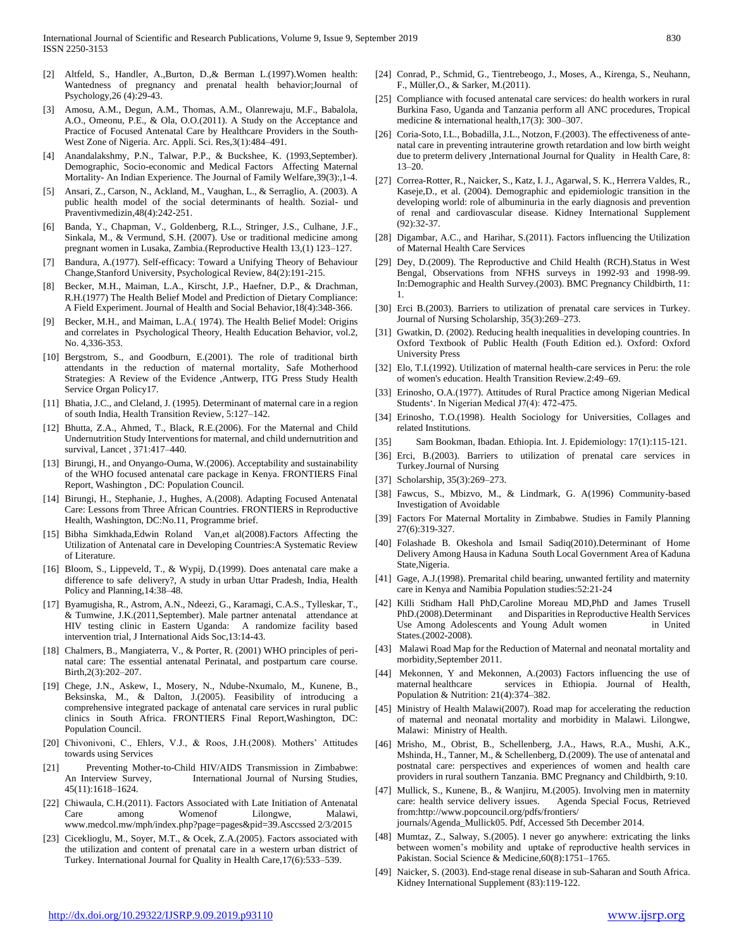- [2] Altfeld, S., Handler, A.,Burton, D.,& Berman L.(1997).Women health: Wantedness of pregnancy and prenatal health behavior;Journal of Psychology,26 (4):29-43.
- [3] Amosu, A.M., Degun, A.M., Thomas, A.M., Olanrewaju, M.F., Babalola, A.O., Omeonu, P.E., & Ola, O.O.(2011). A Study on the Acceptance and Practice of Focused Antenatal Care by Healthcare Providers in the South-West Zone of Nigeria. Arc. Appli. Sci. Res,3(1):484–491.
- [4] Anandalakshmy, P.N., Talwar, P.P., & Buckshee, K. (1993,September). Demographic, Socio-economic and Medical Factors Affecting Maternal Mortality- An Indian Experience. The Journal of Family Welfare,39(3):,1-4.
- [5] Ansari, Z., Carson, N., Ackland, M., Vaughan, L., & Serraglio, A. (2003). A public health model of the social determinants of health. Sozial- und Praventivmedizin,48(4):242-251.
- [6] Banda, Y., Chapman, V., Goldenberg, R.L., Stringer, J.S., Culhane, J.F., Sinkala, M., & Vermund, S.H. (2007). Use or traditional medicine among pregnant women in Lusaka, Zambia.(Reproductive Health 13,(1) 123–127.
- Bandura, A.(1977). Self-efficacy: Toward a Unifying Theory of Behaviour Change,Stanford University, Psychological Review, 84(2):191-215.
- [8] Becker, M.H., Maiman, L.A., Kirscht, J.P., Haefner, D.P., & Drachman, R.H.(1977) The Health Belief Model and Prediction of Dietary Compliance: A Field Experiment. Journal of Health and Social Behavior,18(4):348-366.
- [9] Becker, M.H., and Maiman, L.A.( 1974). The Health Belief Model: Origins and correlates in Psychological Theory, Health Education Behavior, vol.2, No. 4,336-353.
- [10] Bergstrom, S., and Goodburn, E.(2001). The role of traditional birth attendants in the reduction of maternal mortality, Safe Motherhood Strategies: A Review of the Evidence ,Antwerp, ITG Press Study Health Service Organ Policy17.
- [11] Bhatia, J.C., and Cleland, J. (1995). Determinant of maternal care in a region of south India, Health Transition Review, 5:127–142.
- [12] Bhutta, Z.A., Ahmed, T., Black, R.E.(2006). For the Maternal and Child Undernutrition Study Interventions for maternal, and child undernutrition and survival, Lancet , 371:417–440.
- [13] Birungi, H., and Onyango-Ouma, W.(2006). Acceptability and sustainability of the WHO focused antenatal care package in Kenya. FRONTIERS Final Report, Washington , DC: Population Council.
- [14] Birungi, H., Stephanie, J., Hughes, A.(2008). Adapting Focused Antenatal Care: Lessons from Three African Countries. FRONTIERS in Reproductive Health, Washington, DC:No.11, Programme brief.
- [15] Bibha Simkhada,Edwin Roland Van,et al(2008).Factors Affecting the Utilization of Antenatal care in Developing Countries:A Systematic Review of Literature.
- [16] Bloom, S., Lippeveld, T., & Wypij, D.(1999). Does antenatal care make a difference to safe delivery?, A study in urban Uttar Pradesh, India, Health Policy and Planning,14:38–48.
- [17] Byamugisha, R., Astrom, A.N., Ndeezi, G., Karamagi, C.A.S., Tylleskar, T., & Tumwine, J.K.(2011,September). Male partner antenatal attendance at HIV testing clinic in Eastern Uganda: A randomize facility based intervention trial, J International Aids Soc,13:14-43.
- [18] Chalmers, B., Mangiaterra, V., & Porter, R. (2001) WHO principles of perinatal care: The essential antenatal Perinatal, and postpartum care course. Birth,2(3):202–207.
- [19] Chege, J.N., Askew, I., Mosery, N., Ndube-Nxumalo, M., Kunene, B., Beksinska, M., & Dalton, J.(2005). Feasibility of introducing a comprehensive integrated package of antenatal care services in rural public clinics in South Africa. FRONTIERS Final Report,Washington, DC: Population Council.
- [20] Chivonivoni, C., Ehlers, V.J., & Roos, J.H.(2008). Mothers' Attitudes towards using Services
- [21] Preventing Mother-to-Child HIV/AIDS Transmission in Zimbabwe: International Journal of Nursing Studies, 45(11):1618–1624.
- [22] Chiwaula, C.H.(2011). Factors Associated with Late Initiation of Antenatal Care among Womenof Lilongwe, Malawi, www.medcol.mw/mph/index.php?page=pages&pid=39.Asccssed 2/3/2015
- [23] Ciceklioglu, M., Soyer, M.T., & Ocek, Z.A.(2005). Factors associated with the utilization and content of prenatal care in a western urban district of Turkey. International Journal for Quality in Health Care,17(6):533–539.
- [24] Conrad, P., Schmid, G., Tientrebeogo, J., Moses, A., Kirenga, S., Neuhann, F., Müller,O., & Sarker, M.(2011).
- [25] Compliance with focused antenatal care services: do health workers in rural Burkina Faso, Uganda and Tanzania perform all ANC procedures, Tropical medicine & international health,17(3): 300–307.
- [26] Coria-Soto, I.L., Bobadilla, J.L., Notzon, F.(2003). The effectiveness of antenatal care in preventing intrauterine growth retardation and low birth weight due to preterm delivery ,International Journal for Quality in Health Care, 8: 13–20.
- [27] Correa-Rotter, R., Naicker, S., Katz, I. J., Agarwal, S. K., Herrera Valdes, R., Kaseje,D., et al. (2004). Demographic and epidemiologic transition in the developing world: role of albuminuria in the early diagnosis and prevention of renal and cardiovascular disease. Kidney International Supplement (92):32-37.
- [28] Digambar, A.C., and Harihar, S.(2011). Factors influencing the Utilization of Maternal Health Care Services
- [29] Dey, D.(2009). The Reproductive and Child Health (RCH).Status in West Bengal, Observations from NFHS surveys in 1992-93 and 1998-99. In:Demographic and Health Survey.(2003). BMC Pregnancy Childbirth, 11: 1.
- [30] Erci B.(2003). Barriers to utilization of prenatal care services in Turkey. Journal of Nursing Scholarship, 35(3):269–273.
- [31] Gwatkin, D. (2002). Reducing health inequalities in developing countries. In Oxford Textbook of Public Health (Fouth Edition ed.). Oxford: Oxford University Press
- [32] Elo, T.I.(1992). Utilization of maternal health-care services in Peru: the role of women's education. Health Transition Review.2:49–69.
- [33] Erinosho, O.A.(1977). Attitudes of Rural Practice among Nigerian Medical Students'. In Nigerian Medical J7(4): 472-475.
- [34] Erinosho, T.O.(1998). Health Sociology for Universities, Collages and related Institutions.
- [35] Sam Bookman, Ibadan. Ethiopia. Int. J. Epidemiology: 17(1):115-121.
- [36] Erci, B.(2003). Barriers to utilization of prenatal care services in Turkey.Journal of Nursing
- [37] Scholarship, 35(3):269–273.
- [38] Fawcus, S., Mbizvo, M., & Lindmark, G. A(1996) Community-based Investigation of Avoidable
- [39] Factors For Maternal Mortality in Zimbabwe. Studies in Family Planning 27(6):319-327.
- [40] Folashade B. Okeshola and Ismail Sadiq(2010).Determinant of Home Delivery Among Hausa in Kaduna South Local Government Area of Kaduna State,Nigeria.
- [41] Gage, A.J.(1998). Premarital child bearing, unwanted fertility and maternity care in Kenya and Namibia Population studies:52:21-24
- [42] Killi Stidham Hall PhD,Caroline Moreau MD,PhD and James Trusell PhD.(2008).Determinant and Disparities in Reproductive Health Services Use Among Adolescents and Young Adult women in United States.(2002-2008).
- [43] Malawi Road Map for the Reduction of Maternal and neonatal mortality and morbidity,September 2011.
- [44] Mekonnen, Y and Mekonnen, A.(2003) Factors influencing the use of maternal healthcare services in Ethiopia. Journal of Health, Population & Nutrition: 21(4):374–382.
- [45] Ministry of Health Malawi(2007). Road map for accelerating the reduction of maternal and neonatal mortality and morbidity in Malawi. Lilongwe, Malawi: Ministry of Health.
- [46] Mrisho, M., Obrist, B., Schellenberg, J.A., Haws, R.A., Mushi, A.K., Mshinda, H., Tanner, M., & Schellenberg, D.(2009). The use of antenatal and postnatal care: perspectives and experiences of women and health care providers in rural southern Tanzania. BMC Pregnancy and Childbirth, 9:10.
- [47] Mullick, S., Kunene, B., & Wanjiru, M.(2005). Involving men in maternity care: health service delivery issues. Agenda Special Focus, Retrieved from:http://www.popcouncil.org/pdfs/frontiers/ journals/Agenda\_Mullick05. Pdf, Accessed 5th December 2014.
- [48] Mumtaz, Z., Salway, S.(2005). I never go anywhere: extricating the links between women's mobility and uptake of reproductive health services in Pakistan. Social Science & Medicine,60(8):1751–1765.
- [49] Naicker, S. (2003). End-stage renal disease in sub-Saharan and South Africa. Kidney International Supplement (83):119-122.